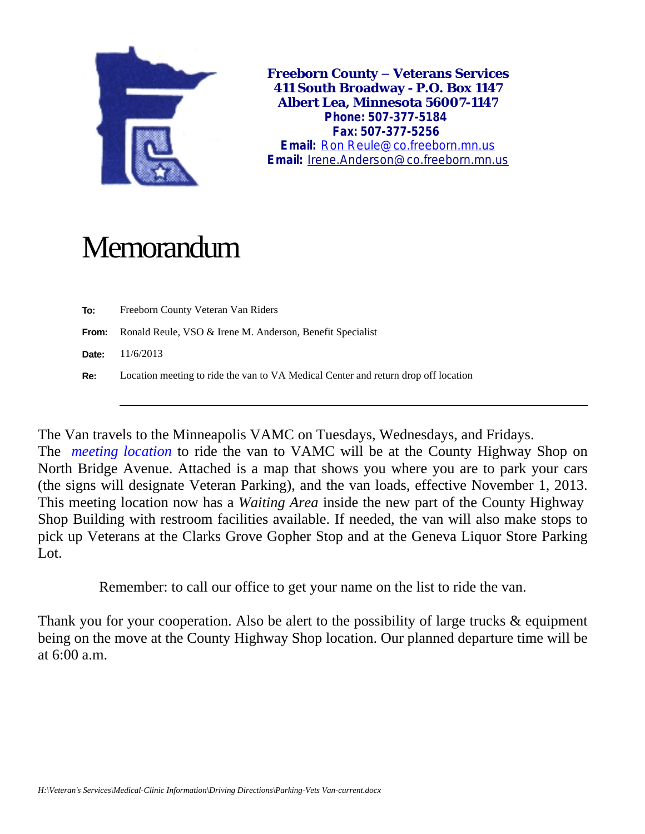

**Freeborn County – Veterans Services 411 South Broadway - P.O. Box 1147 Albert Lea, Minnesota 56007-1147 Phone: 507-377-5184 Fax: 507-377-5256 Email:** [Ron Reule@co.freeborn.mn.us](mailto:Ron%20Reule@co.freeborn.mn.us) **Email:** [Irene.Anderson@co.freeborn.mn.us](mailto:Irene.Anderson@co.freeborn.mn.us)

## Memorandum

| To:   | Freeborn County Veteran Van Riders                                                 |
|-------|------------------------------------------------------------------------------------|
|       | <b>From:</b> Ronald Reule, VSO & Irene M. Anderson, Benefit Specialist             |
| Date: | 11/6/2013                                                                          |
| Re:   | Location meeting to ride the van to VA Medical Center and return drop off location |
|       |                                                                                    |

The Van travels to the Minneapolis VAMC on Tuesdays, Wednesdays, and Fridays. The *meeting location* to ride the van to VAMC will be at the County Highway Shop on North Bridge Avenue. Attached is a map that shows you where you are to park your cars (the signs will designate Veteran Parking), and the van loads, effective November 1, 2013. This meeting location now has a *Waiting Area* inside the new part of the County Highway Shop Building with restroom facilities available. If needed, the van will also make stops to pick up Veterans at the Clarks Grove Gopher Stop and at the Geneva Liquor Store Parking Lot.

Remember: to call our office to get your name on the list to ride the van.

Thank you for your cooperation. Also be alert to the possibility of large trucks  $\&$  equipment being on the move at the County Highway Shop location. Our planned departure time will be at 6:00 a.m.